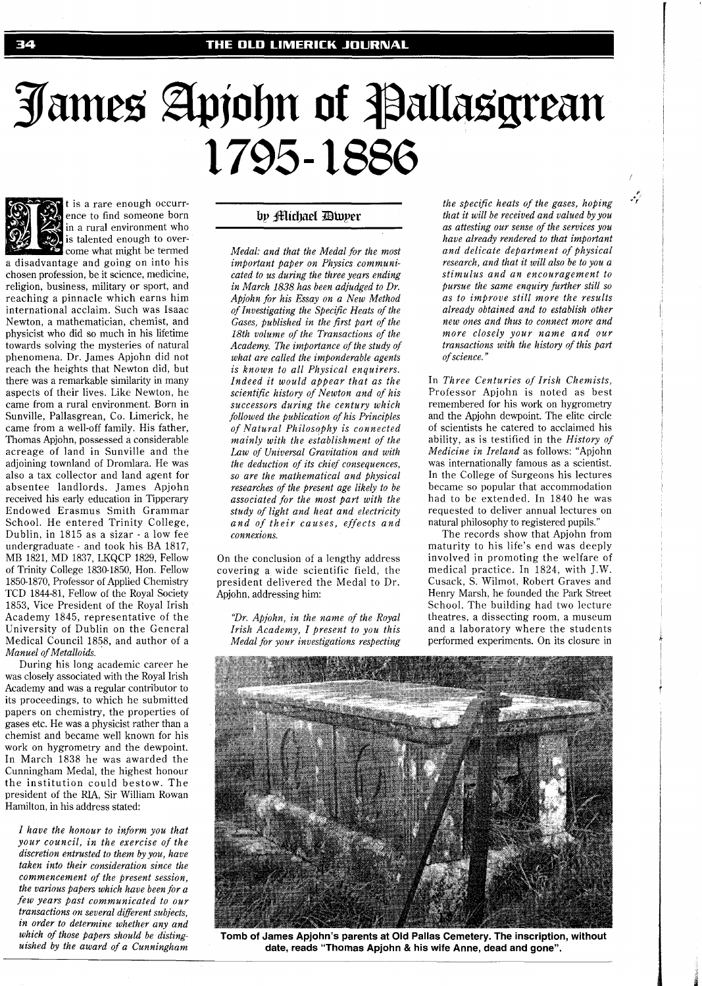## James Apjohn of Pallasgrean 1795-1886

t is a rare enough occurrence to find someone born in a rural environment who is talented enough to over-

come what might be termed a disadvantage and going on into his chosen profession, be it science, medicine, religion, business, military or sport, and reaching a pinnacle which earns him international acclaim. Such was Isaac Newton, a mathematician, chemist, and physicist who did so much in his lifetime towards solving the mysteries of natural phenomena. Dr. James Apjohn did not reach the heights that Newton did, but there was a remarkable similarity in many aspects of their lives. Like Newton, he came from a rural environment. Born in Sunville, Pallasgrean, Co. Limerick, he came from a well-off family. His father, Thomas Apjohn, possessed a considerable acreage of land in Sunville and the adjoining townland of Dromlara. He was also a tax collector and land agent for absentee landlords. James Apjohn received his early education in Tipperary Endowed Erasmus Smith Grammar School. He entered Trinity College, Dublin, in 1815 as a sizar - a low fee undergraduate - and took his BA 1817, MB 1821, MD 1837, LKQCP 1829, Fellow of Trinity College 1830-1850, Hon. Fellow 1850-1870, Professor of Applied Chemistry TCD 1844-81, Fellow of the Royal Society 1853, Vice President of the Royal Irish Academy 1845, representative of the University of Dublin on the General Medical Council 1858, and author of a *Manuel of Metalloids.* 

During his long academic career he was closely associated with the Royal Irish Academy and was a regular contributor to its proceedings, to which he submitted papers on chemistry, the properties of gases etc. He was a physicist rather than a chemist and became well known for his work on hygrometry and the dewpoint. In March 1838 he was awarded the Cunningham Medal, the highest honour the institution could bestow. The president of the RIA, Sir William Rowan Hamilton, in his address stated:

*I have the honour to inform you that your council, in the exercise of the discretion entrusted to them by you, have taken into their consideration since the commencement of the present session, the various papers which have been for a few years past communicated to our transactions on several diflerent subjects, in order to determine whether any and which of those papers should be distinguished by the award of a Cunningham* 

## by **filichael Diuper**

*Medal: and that the Medal for the most important paper on Physics communicated to us during the three years ending in March 1838 has been adjudged to Dr. Apjohn for his Essay on a New Method of Investigating the Specific Heats of the Gases, published in the first part of the 18th volume of the Transactions of the Academy. The importance of the study of what are called the imponderable agents is known to all Physical enquirers. Indeed it would appear that as the scientific history of Newton and of his successors during the century which followed the publication of his Principles of Natural Philosophy is connected mainly with the establishment of the Law of Universal Gravitation and with the deduction of its chief consequences, so are the mathematical and physical researches of the present age likely to be associated for the most part with the study of light and heat and electricity and of their causes, effects and connexions.* 

On the conclusion of a lengthy address covering a wide scientific field, the president delivered the Medal to Dr. Apjohn, addressing him:

*"Dr. Apjohn, in the name of the Royal Irish Academy, I present to you this Medal for your investigations respecting*  *the specific heats of the gases, hoping that it will be received and valued by you as attesting our sense of the services you have already rendered to that important and delicate department of physical research, and that it will also be to you a stimulus and an encouragement to pursue the same enquiry firther still so as to improve still more the results already obtained and to establish other new ones and thus to connect more and more closely your name and our transactions with the history of this part of science."* 

تركمه

In *Three Centuries of Irish Chemists,*  Professor Apjohn is noted as best remembered for his work on hygrometry and the Apjohn dewpoint. The elite circle of scientists he catered to acclaimed his ability, as is testified in the *History of Medicine in Ireland* as follows: "Apjohn was internationally famous as a scientist. In the College of Surgeons his lectures became so popular that accommodation had to be extended. In 1840 he was requested to deliver annual lectures on natural philosophy to registered pupils."

The records show that Apjohn from maturity to his life's end was deeply involved in promoting the welfare of medical practice. In 1824, with J.W. Cusack, S. Wilmot, Robert Graves and Henry Marsh, he founded the Park Street School. The building had two lecture theatres, a dissecting room, a museum and a laboratory where the students performed experiments. On its closure in



**Tomb of James Apjohn's parents at Old Pallas Cemetery. The inscription, without date, reads "Thomas Apjohn** & **his wife Anne, dead and gone".**